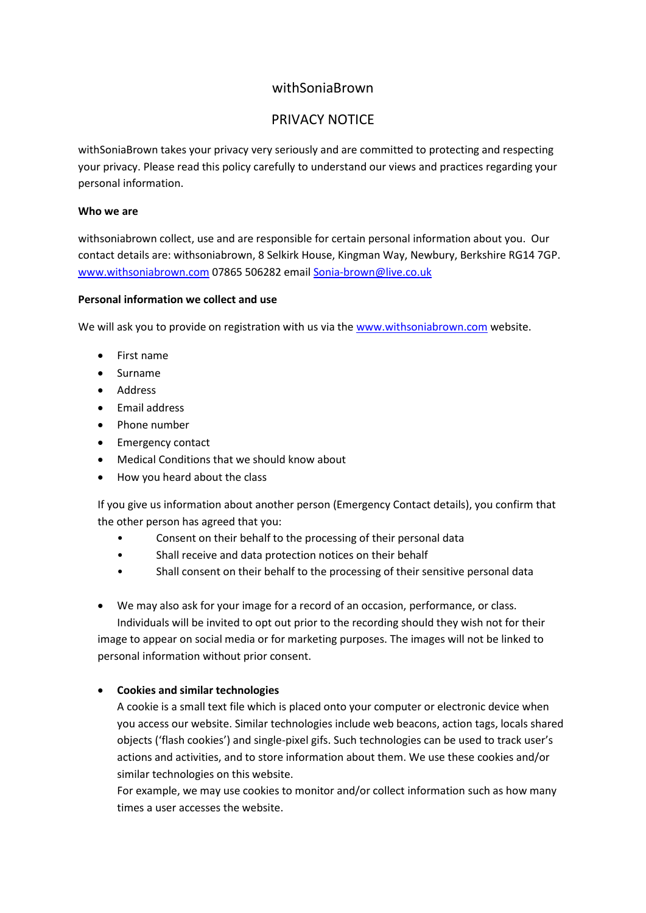# withSoniaBrown

# PRIVACY NOTICE

withSoniaBrown takes your privacy very seriously and are committed to protecting and respecting your privacy. Please read this policy carefully to understand our views and practices regarding your personal information.

### **Who we are**

withsoniabrown collect, use and are responsible for certain personal information about you. Our contact details are: withsoniabrown, 8 Selkirk House, Kingman Way, Newbury, Berkshire RG14 7GP. [www.withsoniabrown.com](http://www.withsoniabrown.com/) 07865 506282 email [Sonia-brown@live.co.uk](mailto:Sonia-brown@live.co.uk)

## **Personal information we collect and use**

We will ask you to provide on registration with us via the [www.withsoniabrown.com](http://www.withsoniabrown.com/) website.

- First name
- Surname
- Address
- Email address
- Phone number
- Emergency contact
- Medical Conditions that we should know about
- How you heard about the class

If you give us information about another person (Emergency Contact details), you confirm that the other person has agreed that you:

- Consent on their behalf to the processing of their personal data
- Shall receive and data protection notices on their behalf
- Shall consent on their behalf to the processing of their sensitive personal data

• We may also ask for your image for a record of an occasion, performance, or class.

Individuals will be invited to opt out prior to the recording should they wish not for their image to appear on social media or for marketing purposes. The images will not be linked to personal information without prior consent.

# • **Cookies and similar technologies**

A cookie is a small text file which is placed onto your computer or electronic device when you access our website. Similar technologies include web beacons, action tags, locals shared objects ('flash cookies') and single-pixel gifs. Such technologies can be used to track user's actions and activities, and to store information about them. We use these cookies and/or similar technologies on this website.

For example, we may use cookies to monitor and/or collect information such as how many times a user accesses the website.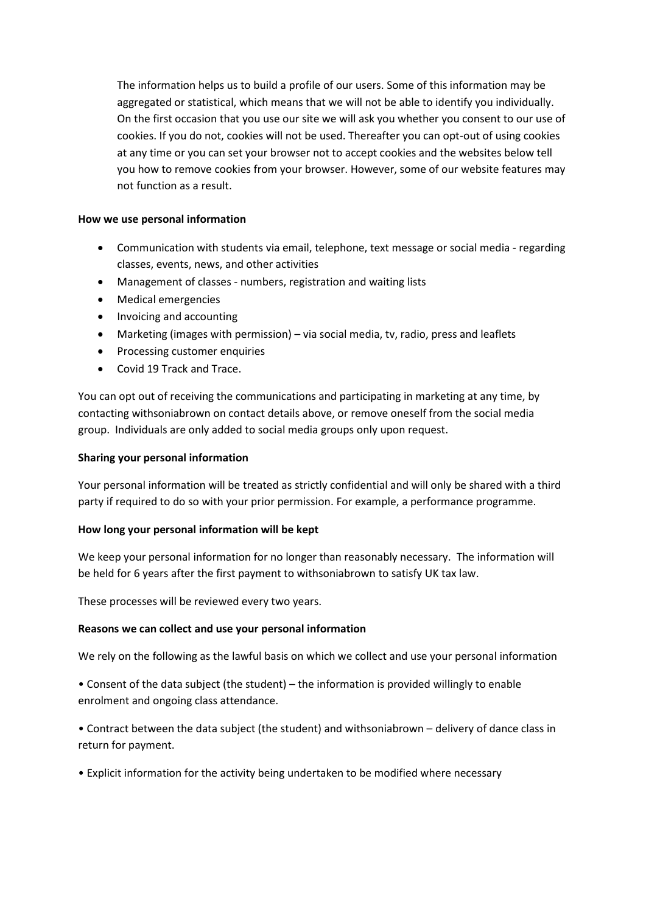The information helps us to build a profile of our users. Some of this information may be aggregated or statistical, which means that we will not be able to identify you individually. On the first occasion that you use our site we will ask you whether you consent to our use of cookies. If you do not, cookies will not be used. Thereafter you can opt-out of using cookies at any time or you can set your browser not to accept cookies and the websites below tell you how to remove cookies from your browser. However, some of our website features may not function as a result.

## **How we use personal information**

- Communication with students via email, telephone, text message or social media regarding classes, events, news, and other activities
- Management of classes numbers, registration and waiting lists
- Medical emergencies
- Invoicing and accounting
- Marketing (images with permission) via social media, tv, radio, press and leaflets
- Processing customer enquiries
- Covid 19 Track and Trace.

You can opt out of receiving the communications and participating in marketing at any time, by contacting withsoniabrown on contact details above, or remove oneself from the social media group. Individuals are only added to social media groups only upon request.

### **Sharing your personal information**

Your personal information will be treated as strictly confidential and will only be shared with a third party if required to do so with your prior permission. For example, a performance programme.

#### **How long your personal information will be kept**

We keep your personal information for no longer than reasonably necessary. The information will be held for 6 years after the first payment to withsoniabrown to satisfy UK tax law.

These processes will be reviewed every two years.

#### **Reasons we can collect and use your personal information**

We rely on the following as the lawful basis on which we collect and use your personal information

• Consent of the data subject (the student) – the information is provided willingly to enable enrolment and ongoing class attendance.

• Contract between the data subject (the student) and withsoniabrown – delivery of dance class in return for payment.

• Explicit information for the activity being undertaken to be modified where necessary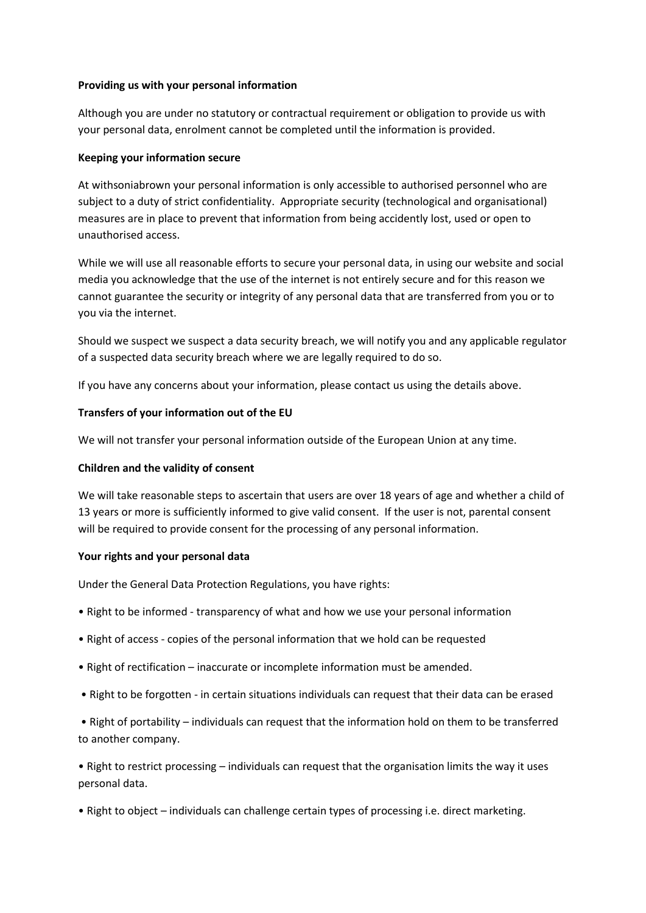#### **Providing us with your personal information**

Although you are under no statutory or contractual requirement or obligation to provide us with your personal data, enrolment cannot be completed until the information is provided.

#### **Keeping your information secure**

At withsoniabrown your personal information is only accessible to authorised personnel who are subject to a duty of strict confidentiality. Appropriate security (technological and organisational) measures are in place to prevent that information from being accidently lost, used or open to unauthorised access.

While we will use all reasonable efforts to secure your personal data, in using our website and social media you acknowledge that the use of the internet is not entirely secure and for this reason we cannot guarantee the security or integrity of any personal data that are transferred from you or to you via the internet.

Should we suspect we suspect a data security breach, we will notify you and any applicable regulator of a suspected data security breach where we are legally required to do so.

If you have any concerns about your information, please contact us using the details above.

#### **Transfers of your information out of the EU**

We will not transfer your personal information outside of the European Union at any time.

#### **Children and the validity of consent**

We will take reasonable steps to ascertain that users are over 18 years of age and whether a child of 13 years or more is sufficiently informed to give valid consent. If the user is not, parental consent will be required to provide consent for the processing of any personal information.

#### **Your rights and your personal data**

Under the General Data Protection Regulations, you have rights:

- Right to be informed transparency of what and how we use your personal information
- Right of access copies of the personal information that we hold can be requested
- Right of rectification inaccurate or incomplete information must be amended.
- Right to be forgotten in certain situations individuals can request that their data can be erased

• Right of portability – individuals can request that the information hold on them to be transferred to another company.

• Right to restrict processing – individuals can request that the organisation limits the way it uses personal data.

• Right to object – individuals can challenge certain types of processing i.e. direct marketing.